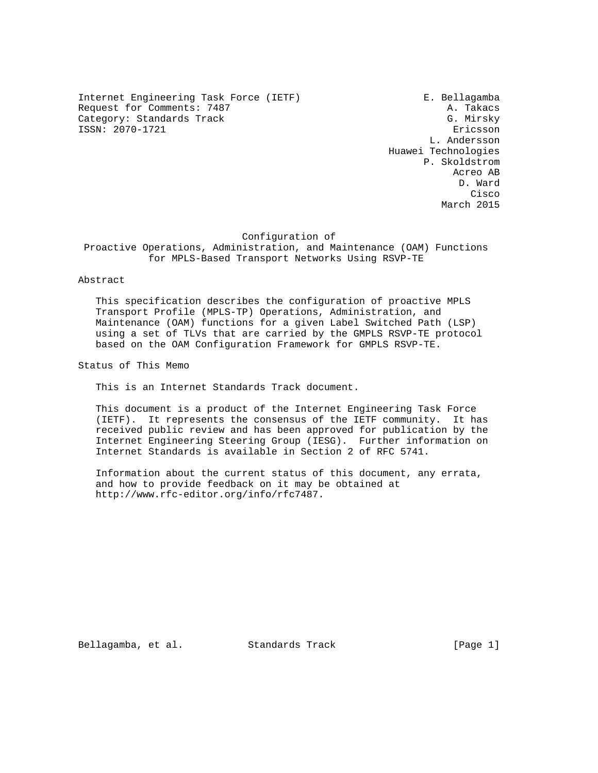Internet Engineering Task Force (IETF) F. Bellagamba Request for Comments: 7487<br>Category: Standards Track Category: Standards Track Category: Standards Track ISSN: 2070-1721 Ericsson

 L. Andersson Huawei Technologies P. Skoldstrom Acreo AB D. Ward **Cisco de la contrata de la contrata de la contrata de la contrata de la contrata de la contrata de la contrat** March 2015

#### Configuration of

 Proactive Operations, Administration, and Maintenance (OAM) Functions for MPLS-Based Transport Networks Using RSVP-TE

#### Abstract

 This specification describes the configuration of proactive MPLS Transport Profile (MPLS-TP) Operations, Administration, and Maintenance (OAM) functions for a given Label Switched Path (LSP) using a set of TLVs that are carried by the GMPLS RSVP-TE protocol based on the OAM Configuration Framework for GMPLS RSVP-TE.

Status of This Memo

This is an Internet Standards Track document.

 This document is a product of the Internet Engineering Task Force (IETF). It represents the consensus of the IETF community. It has received public review and has been approved for publication by the Internet Engineering Steering Group (IESG). Further information on Internet Standards is available in Section 2 of RFC 5741.

 Information about the current status of this document, any errata, and how to provide feedback on it may be obtained at http://www.rfc-editor.org/info/rfc7487.

Bellagamba, et al. Standards Track [Page 1]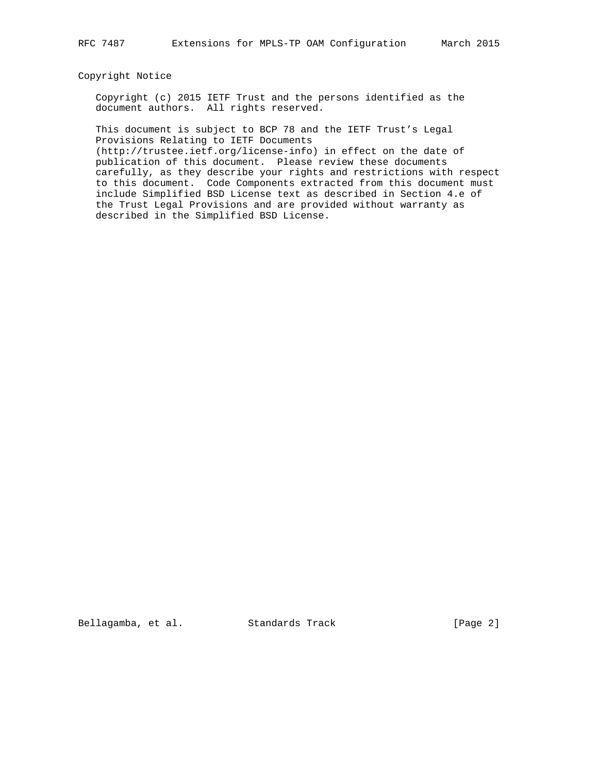## Copyright Notice

 Copyright (c) 2015 IETF Trust and the persons identified as the document authors. All rights reserved.

 This document is subject to BCP 78 and the IETF Trust's Legal Provisions Relating to IETF Documents

 (http://trustee.ietf.org/license-info) in effect on the date of publication of this document. Please review these documents carefully, as they describe your rights and restrictions with respect to this document. Code Components extracted from this document must include Simplified BSD License text as described in Section 4.e of the Trust Legal Provisions and are provided without warranty as described in the Simplified BSD License.

Bellagamba, et al. Standards Track [Page 2]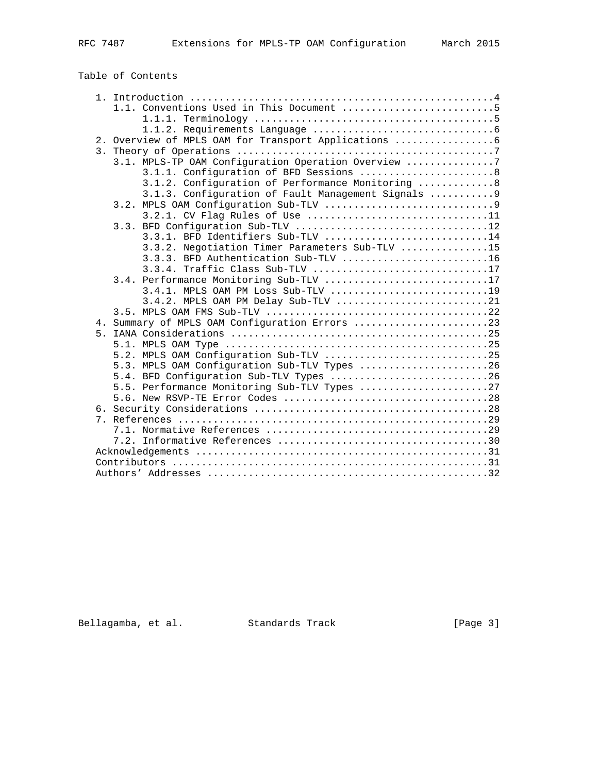Table of Contents

|    | 1.1. Conventions Used in This Document 5            |
|----|-----------------------------------------------------|
|    |                                                     |
|    |                                                     |
|    |                                                     |
| 3. |                                                     |
|    | 3.1. MPLS-TP OAM Configuration Operation Overview 7 |
|    | 3.1.1. Configuration of BFD Sessions  8             |
|    | 3.1.2. Configuration of Performance Monitoring  8   |
|    | 3.1.3. Configuration of Fault Management Signals  9 |
|    |                                                     |
|    | 3.2.1. CV Flag Rules of Use 11                      |
|    | 3.3. BFD Configuration Sub-TLV 12                   |
|    | 3.3.1. BFD Identifiers Sub-TLV 14                   |
|    | 3.3.2. Negotiation Timer Parameters Sub-TLV 15      |
|    | 3.3.3. BFD Authentication Sub-TLV 16                |
|    | 3.3.4. Traffic Class Sub-TLV 17                     |
|    | 3.4. Performance Monitoring Sub-TLV 17              |
|    | 3.4.1. MPLS OAM PM LOSS Sub-TLV 19                  |
|    | 3.4.2. MPLS OAM PM Delay Sub-TLV 21                 |
|    |                                                     |
|    |                                                     |
| 5. |                                                     |
|    |                                                     |
|    | 5.2. MPLS OAM Configuration Sub-TLV 25              |
|    | 5.3. MPLS OAM Configuration Sub-TLV Types 26        |
|    | 5.4. BFD Configuration Sub-TLV Types 26             |
|    | 5.5. Performance Monitoring Sub-TLV Types 27        |
|    |                                                     |
|    |                                                     |
| 7  |                                                     |
|    |                                                     |
|    |                                                     |
|    |                                                     |
|    |                                                     |
|    |                                                     |

Bellagamba, et al. Standards Track [Page 3]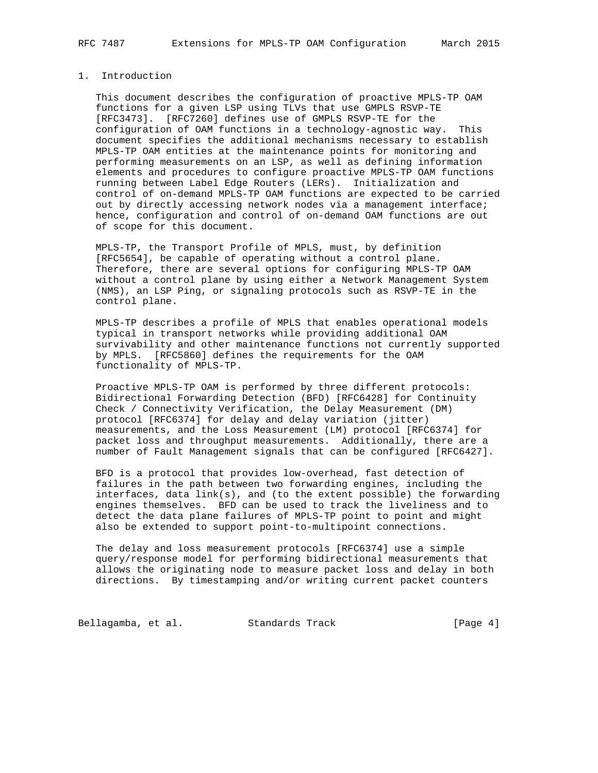## 1. Introduction

 This document describes the configuration of proactive MPLS-TP OAM functions for a given LSP using TLVs that use GMPLS RSVP-TE [RFC3473]. [RFC7260] defines use of GMPLS RSVP-TE for the configuration of OAM functions in a technology-agnostic way. This document specifies the additional mechanisms necessary to establish MPLS-TP OAM entities at the maintenance points for monitoring and performing measurements on an LSP, as well as defining information elements and procedures to configure proactive MPLS-TP OAM functions running between Label Edge Routers (LERs). Initialization and control of on-demand MPLS-TP OAM functions are expected to be carried out by directly accessing network nodes via a management interface; hence, configuration and control of on-demand OAM functions are out of scope for this document.

 MPLS-TP, the Transport Profile of MPLS, must, by definition [RFC5654], be capable of operating without a control plane. Therefore, there are several options for configuring MPLS-TP OAM without a control plane by using either a Network Management System (NMS), an LSP Ping, or signaling protocols such as RSVP-TE in the control plane.

 MPLS-TP describes a profile of MPLS that enables operational models typical in transport networks while providing additional OAM survivability and other maintenance functions not currently supported by MPLS. [RFC5860] defines the requirements for the OAM functionality of MPLS-TP.

 Proactive MPLS-TP OAM is performed by three different protocols: Bidirectional Forwarding Detection (BFD) [RFC6428] for Continuity Check / Connectivity Verification, the Delay Measurement (DM) protocol [RFC6374] for delay and delay variation (jitter) measurements, and the Loss Measurement (LM) protocol [RFC6374] for packet loss and throughput measurements. Additionally, there are a number of Fault Management signals that can be configured [RFC6427].

 BFD is a protocol that provides low-overhead, fast detection of failures in the path between two forwarding engines, including the interfaces, data link(s), and (to the extent possible) the forwarding engines themselves. BFD can be used to track the liveliness and to detect the data plane failures of MPLS-TP point to point and might also be extended to support point-to-multipoint connections.

 The delay and loss measurement protocols [RFC6374] use a simple query/response model for performing bidirectional measurements that allows the originating node to measure packet loss and delay in both directions. By timestamping and/or writing current packet counters

Bellagamba, et al. Standards Track (Page 4)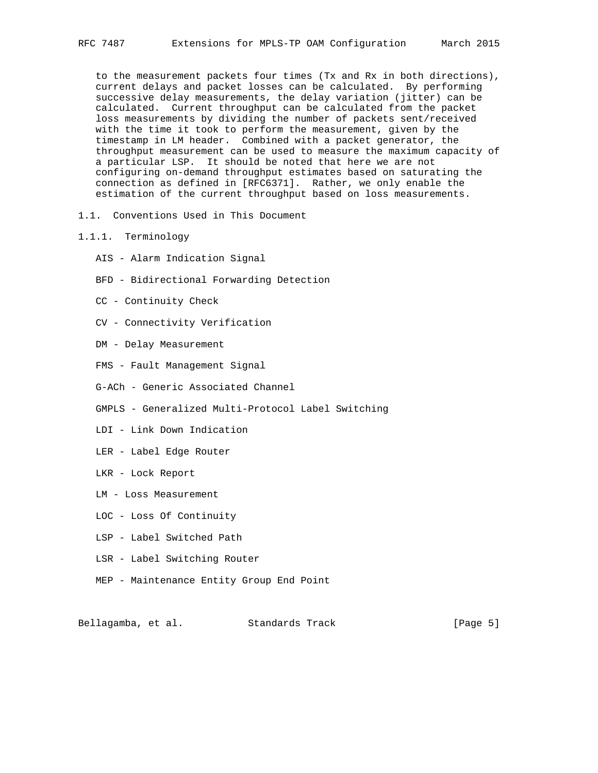to the measurement packets four times (Tx and Rx in both directions), current delays and packet losses can be calculated. By performing successive delay measurements, the delay variation (jitter) can be calculated. Current throughput can be calculated from the packet loss measurements by dividing the number of packets sent/received with the time it took to perform the measurement, given by the timestamp in LM header. Combined with a packet generator, the throughput measurement can be used to measure the maximum capacity of a particular LSP. It should be noted that here we are not configuring on-demand throughput estimates based on saturating the connection as defined in [RFC6371]. Rather, we only enable the estimation of the current throughput based on loss measurements.

- 1.1. Conventions Used in This Document
- 1.1.1. Terminology
	- AIS Alarm Indication Signal
	- BFD Bidirectional Forwarding Detection
	- CC Continuity Check
	- CV Connectivity Verification
	- DM Delay Measurement
	- FMS Fault Management Signal
	- G-ACh Generic Associated Channel
	- GMPLS Generalized Multi-Protocol Label Switching
	- LDI Link Down Indication
	- LER Label Edge Router
	- LKR Lock Report
	- LM Loss Measurement
	- LOC Loss Of Continuity
	- LSP Label Switched Path
	- LSR Label Switching Router
	- MEP Maintenance Entity Group End Point

Bellagamba, et al. Standards Track [Page 5]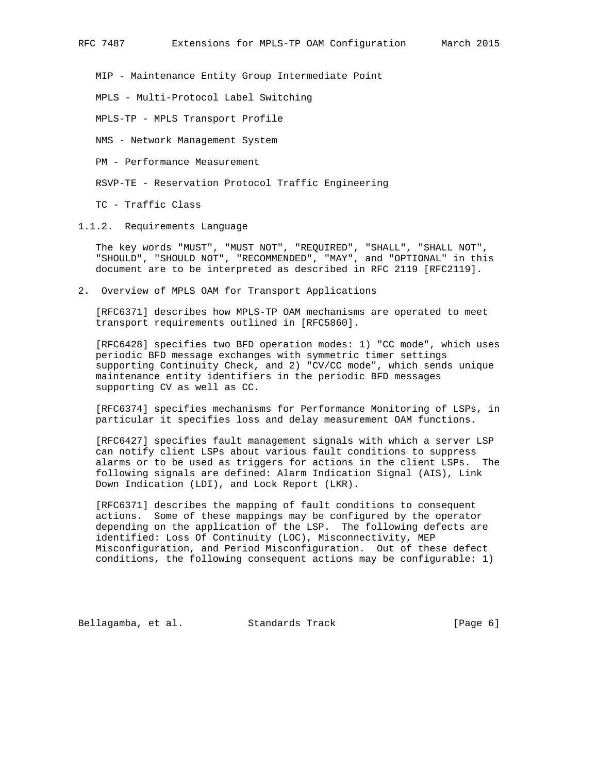MIP - Maintenance Entity Group Intermediate Point

MPLS - Multi-Protocol Label Switching

MPLS-TP - MPLS Transport Profile

NMS - Network Management System

PM - Performance Measurement

RSVP-TE - Reservation Protocol Traffic Engineering

TC - Traffic Class

1.1.2. Requirements Language

 The key words "MUST", "MUST NOT", "REQUIRED", "SHALL", "SHALL NOT", "SHOULD", "SHOULD NOT", "RECOMMENDED", "MAY", and "OPTIONAL" in this document are to be interpreted as described in RFC 2119 [RFC2119].

2. Overview of MPLS OAM for Transport Applications

 [RFC6371] describes how MPLS-TP OAM mechanisms are operated to meet transport requirements outlined in [RFC5860].

 [RFC6428] specifies two BFD operation modes: 1) "CC mode", which uses periodic BFD message exchanges with symmetric timer settings supporting Continuity Check, and 2) "CV/CC mode", which sends unique maintenance entity identifiers in the periodic BFD messages supporting CV as well as CC.

 [RFC6374] specifies mechanisms for Performance Monitoring of LSPs, in particular it specifies loss and delay measurement OAM functions.

 [RFC6427] specifies fault management signals with which a server LSP can notify client LSPs about various fault conditions to suppress alarms or to be used as triggers for actions in the client LSPs. The following signals are defined: Alarm Indication Signal (AIS), Link Down Indication (LDI), and Lock Report (LKR).

 [RFC6371] describes the mapping of fault conditions to consequent actions. Some of these mappings may be configured by the operator depending on the application of the LSP. The following defects are identified: Loss Of Continuity (LOC), Misconnectivity, MEP Misconfiguration, and Period Misconfiguration. Out of these defect conditions, the following consequent actions may be configurable: 1)

Bellagamba, et al. Standards Track [Page 6]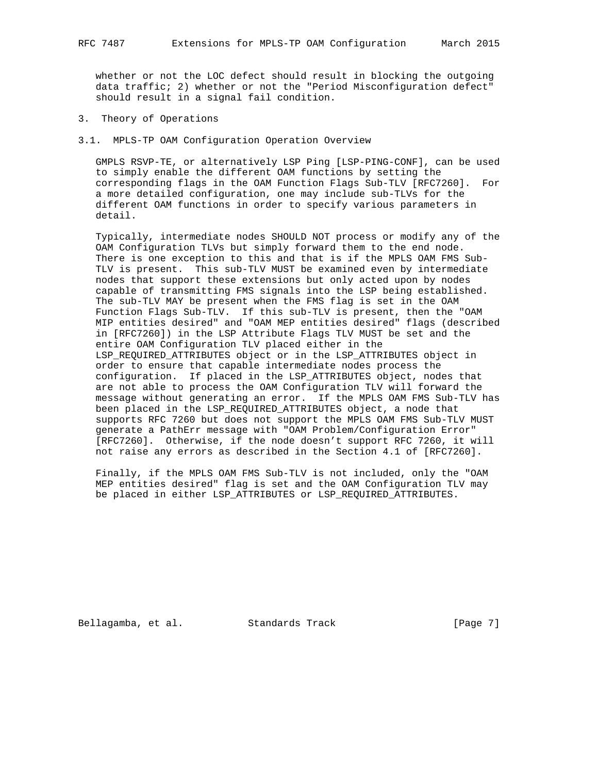whether or not the LOC defect should result in blocking the outgoing data traffic; 2) whether or not the "Period Misconfiguration defect" should result in a signal fail condition.

3. Theory of Operations

3.1. MPLS-TP OAM Configuration Operation Overview

 GMPLS RSVP-TE, or alternatively LSP Ping [LSP-PING-CONF], can be used to simply enable the different OAM functions by setting the corresponding flags in the OAM Function Flags Sub-TLV [RFC7260]. For a more detailed configuration, one may include sub-TLVs for the different OAM functions in order to specify various parameters in detail.

 Typically, intermediate nodes SHOULD NOT process or modify any of the OAM Configuration TLVs but simply forward them to the end node. There is one exception to this and that is if the MPLS OAM FMS Sub- TLV is present. This sub-TLV MUST be examined even by intermediate nodes that support these extensions but only acted upon by nodes capable of transmitting FMS signals into the LSP being established. The sub-TLV MAY be present when the FMS flag is set in the OAM Function Flags Sub-TLV. If this sub-TLV is present, then the "OAM MIP entities desired" and "OAM MEP entities desired" flags (described in [RFC7260]) in the LSP Attribute Flags TLV MUST be set and the entire OAM Configuration TLV placed either in the LSP\_REQUIRED\_ATTRIBUTES object or in the LSP\_ATTRIBUTES object in order to ensure that capable intermediate nodes process the configuration. If placed in the LSP\_ATTRIBUTES object, nodes that are not able to process the OAM Configuration TLV will forward the message without generating an error. If the MPLS OAM FMS Sub-TLV has been placed in the LSP\_REQUIRED\_ATTRIBUTES object, a node that supports RFC 7260 but does not support the MPLS OAM FMS Sub-TLV MUST generate a PathErr message with "OAM Problem/Configuration Error" [RFC7260]. Otherwise, if the node doesn't support RFC 7260, it will not raise any errors as described in the Section 4.1 of [RFC7260].

 Finally, if the MPLS OAM FMS Sub-TLV is not included, only the "OAM MEP entities desired" flag is set and the OAM Configuration TLV may be placed in either LSP ATTRIBUTES or LSP REQUIRED ATTRIBUTES.

Bellagamba, et al. Standards Track [Page 7]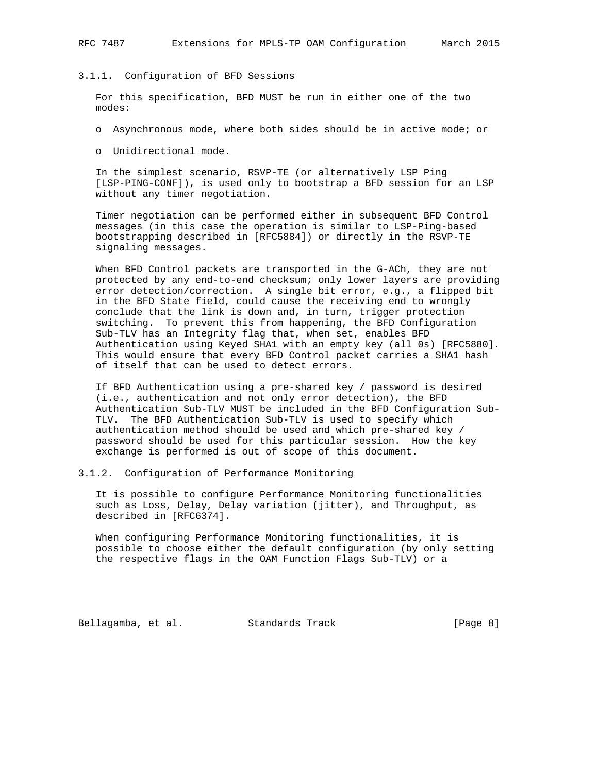#### 3.1.1. Configuration of BFD Sessions

 For this specification, BFD MUST be run in either one of the two modes:

- o Asynchronous mode, where both sides should be in active mode; or
- o Unidirectional mode.

 In the simplest scenario, RSVP-TE (or alternatively LSP Ping [LSP-PING-CONF]), is used only to bootstrap a BFD session for an LSP without any timer negotiation.

 Timer negotiation can be performed either in subsequent BFD Control messages (in this case the operation is similar to LSP-Ping-based bootstrapping described in [RFC5884]) or directly in the RSVP-TE signaling messages.

 When BFD Control packets are transported in the G-ACh, they are not protected by any end-to-end checksum; only lower layers are providing error detection/correction. A single bit error, e.g., a flipped bit in the BFD State field, could cause the receiving end to wrongly conclude that the link is down and, in turn, trigger protection switching. To prevent this from happening, the BFD Configuration Sub-TLV has an Integrity flag that, when set, enables BFD Authentication using Keyed SHA1 with an empty key (all 0s) [RFC5880]. This would ensure that every BFD Control packet carries a SHA1 hash of itself that can be used to detect errors.

 If BFD Authentication using a pre-shared key / password is desired (i.e., authentication and not only error detection), the BFD Authentication Sub-TLV MUST be included in the BFD Configuration Sub- TLV. The BFD Authentication Sub-TLV is used to specify which authentication method should be used and which pre-shared key / password should be used for this particular session. How the key exchange is performed is out of scope of this document.

3.1.2. Configuration of Performance Monitoring

 It is possible to configure Performance Monitoring functionalities such as Loss, Delay, Delay variation (jitter), and Throughput, as described in [RFC6374].

 When configuring Performance Monitoring functionalities, it is possible to choose either the default configuration (by only setting the respective flags in the OAM Function Flags Sub-TLV) or a

Bellagamba, et al. Standards Track [Page 8]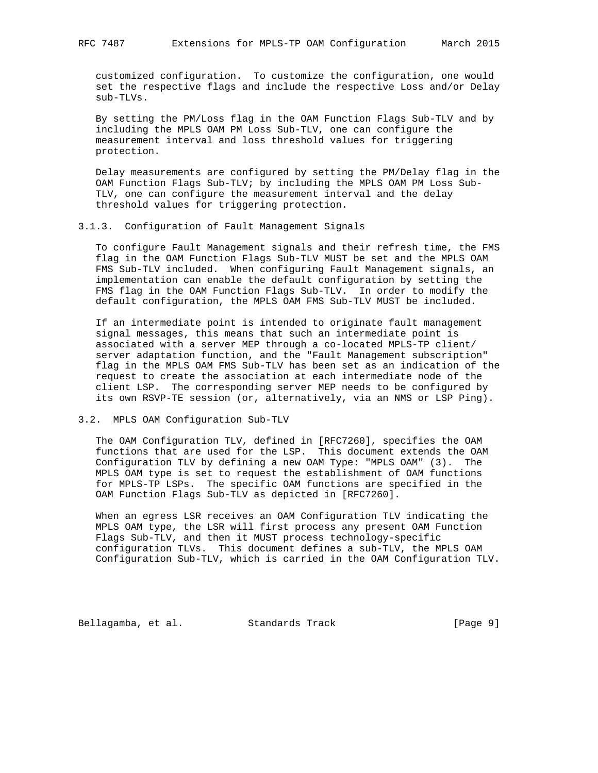customized configuration. To customize the configuration, one would set the respective flags and include the respective Loss and/or Delay sub-TLVs.

 By setting the PM/Loss flag in the OAM Function Flags Sub-TLV and by including the MPLS OAM PM Loss Sub-TLV, one can configure the measurement interval and loss threshold values for triggering protection.

 Delay measurements are configured by setting the PM/Delay flag in the OAM Function Flags Sub-TLV; by including the MPLS OAM PM Loss Sub- TLV, one can configure the measurement interval and the delay threshold values for triggering protection.

#### 3.1.3. Configuration of Fault Management Signals

 To configure Fault Management signals and their refresh time, the FMS flag in the OAM Function Flags Sub-TLV MUST be set and the MPLS OAM FMS Sub-TLV included. When configuring Fault Management signals, an implementation can enable the default configuration by setting the FMS flag in the OAM Function Flags Sub-TLV. In order to modify the default configuration, the MPLS OAM FMS Sub-TLV MUST be included.

 If an intermediate point is intended to originate fault management signal messages, this means that such an intermediate point is associated with a server MEP through a co-located MPLS-TP client/ server adaptation function, and the "Fault Management subscription" flag in the MPLS OAM FMS Sub-TLV has been set as an indication of the request to create the association at each intermediate node of the client LSP. The corresponding server MEP needs to be configured by its own RSVP-TE session (or, alternatively, via an NMS or LSP Ping).

#### 3.2. MPLS OAM Configuration Sub-TLV

 The OAM Configuration TLV, defined in [RFC7260], specifies the OAM functions that are used for the LSP. This document extends the OAM Configuration TLV by defining a new OAM Type: "MPLS OAM" (3). The MPLS OAM type is set to request the establishment of OAM functions for MPLS-TP LSPs. The specific OAM functions are specified in the OAM Function Flags Sub-TLV as depicted in [RFC7260].

 When an egress LSR receives an OAM Configuration TLV indicating the MPLS OAM type, the LSR will first process any present OAM Function Flags Sub-TLV, and then it MUST process technology-specific configuration TLVs. This document defines a sub-TLV, the MPLS OAM Configuration Sub-TLV, which is carried in the OAM Configuration TLV.

Bellagamba, et al. Standards Track [Page 9]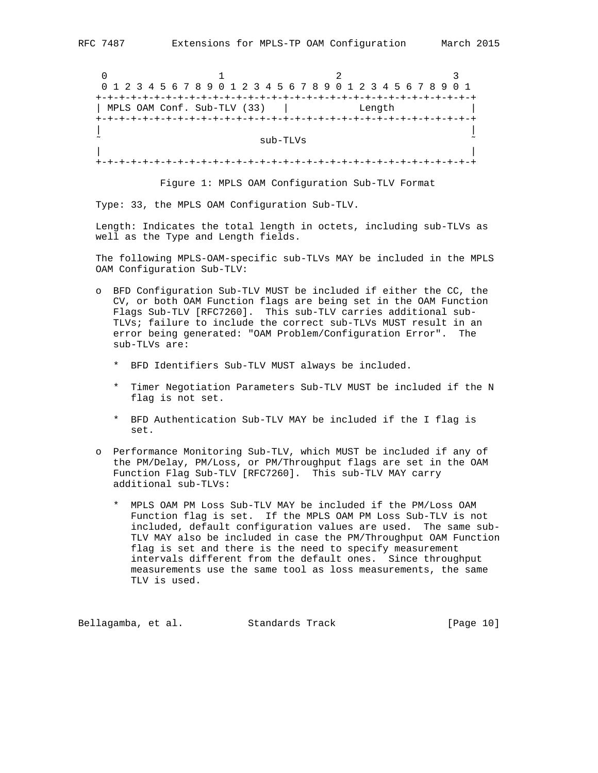0  $1$  2 3 0 1 2 3 4 5 6 7 8 9 0 1 2 3 4 5 6 7 8 9 0 1 2 3 4 5 6 7 8 9 0 1 +-+-+-+-+-+-+-+-+-+-+-+-+-+-+-+-+-+-+-+-+-+-+-+-+-+-+-+-+-+-+-+-+ | MPLS OAM Conf. Sub-TLV (33) | Length +-+-+-+-+-+-+-+-+-+-+-+-+-+-+-+-+-+-+-+-+-+-+-+-+-+-+-+-+-+-+-+-+ | |  $\sim$  sub-TLVs  $\sim$  | | +-+-+-+-+-+-+-+-+-+-+-+-+-+-+-+-+-+-+-+-+-+-+-+-+-+-+-+-+-+-+-+-+

Figure 1: MPLS OAM Configuration Sub-TLV Format

Type: 33, the MPLS OAM Configuration Sub-TLV.

 Length: Indicates the total length in octets, including sub-TLVs as well as the Type and Length fields.

 The following MPLS-OAM-specific sub-TLVs MAY be included in the MPLS OAM Configuration Sub-TLV:

- o BFD Configuration Sub-TLV MUST be included if either the CC, the CV, or both OAM Function flags are being set in the OAM Function Flags Sub-TLV [RFC7260]. This sub-TLV carries additional sub- TLVs; failure to include the correct sub-TLVs MUST result in an error being generated: "OAM Problem/Configuration Error". The sub-TLVs are:
	- \* BFD Identifiers Sub-TLV MUST always be included.
	- \* Timer Negotiation Parameters Sub-TLV MUST be included if the N flag is not set.
	- \* BFD Authentication Sub-TLV MAY be included if the I flag is set.
- o Performance Monitoring Sub-TLV, which MUST be included if any of the PM/Delay, PM/Loss, or PM/Throughput flags are set in the OAM Function Flag Sub-TLV [RFC7260]. This sub-TLV MAY carry additional sub-TLVs:
	- \* MPLS OAM PM Loss Sub-TLV MAY be included if the PM/Loss OAM Function flag is set. If the MPLS OAM PM Loss Sub-TLV is not included, default configuration values are used. The same sub- TLV MAY also be included in case the PM/Throughput OAM Function flag is set and there is the need to specify measurement intervals different from the default ones. Since throughput measurements use the same tool as loss measurements, the same TLV is used.

Bellagamba, et al. Standards Track [Page 10]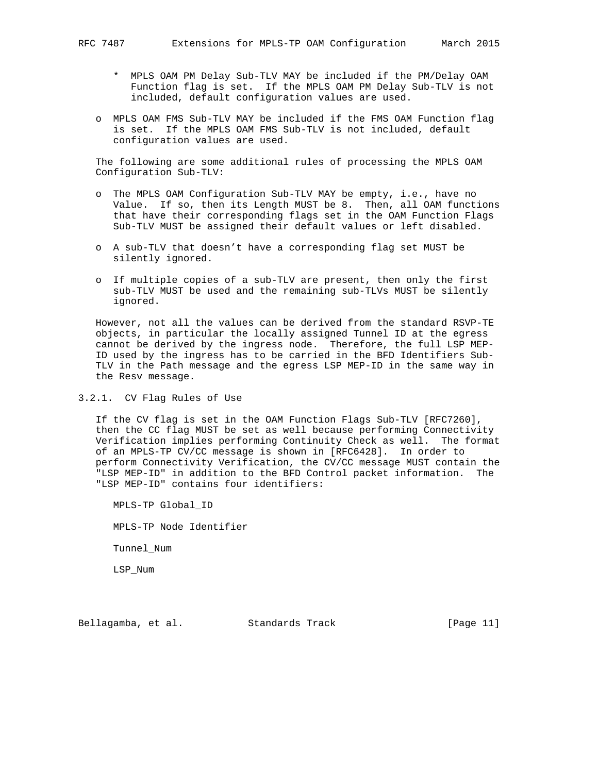- \* MPLS OAM PM Delay Sub-TLV MAY be included if the PM/Delay OAM Function flag is set. If the MPLS OAM PM Delay Sub-TLV is not included, default configuration values are used.
- o MPLS OAM FMS Sub-TLV MAY be included if the FMS OAM Function flag is set. If the MPLS OAM FMS Sub-TLV is not included, default configuration values are used.

 The following are some additional rules of processing the MPLS OAM Configuration Sub-TLV:

- o The MPLS OAM Configuration Sub-TLV MAY be empty, i.e., have no Value. If so, then its Length MUST be 8. Then, all OAM functions that have their corresponding flags set in the OAM Function Flags Sub-TLV MUST be assigned their default values or left disabled.
- o A sub-TLV that doesn't have a corresponding flag set MUST be silently ignored.
- o If multiple copies of a sub-TLV are present, then only the first sub-TLV MUST be used and the remaining sub-TLVs MUST be silently ignored.

 However, not all the values can be derived from the standard RSVP-TE objects, in particular the locally assigned Tunnel ID at the egress cannot be derived by the ingress node. Therefore, the full LSP MEP- ID used by the ingress has to be carried in the BFD Identifiers Sub- TLV in the Path message and the egress LSP MEP-ID in the same way in the Resv message.

3.2.1. CV Flag Rules of Use

 If the CV flag is set in the OAM Function Flags Sub-TLV [RFC7260], then the CC flag MUST be set as well because performing Connectivity Verification implies performing Continuity Check as well. The format of an MPLS-TP CV/CC message is shown in [RFC6428]. In order to perform Connectivity Verification, the CV/CC message MUST contain the "LSP MEP-ID" in addition to the BFD Control packet information. The "LSP MEP-ID" contains four identifiers:

 MPLS-TP Global\_ID MPLS-TP Node Identifier Tunnel\_Num LSP\_Num

Bellagamba, et al. Standards Track [Page 11]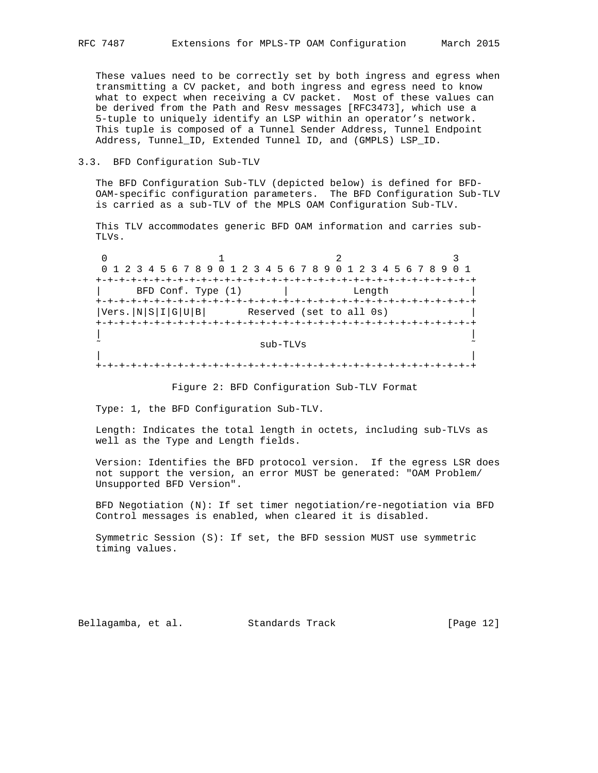These values need to be correctly set by both ingress and egress when transmitting a CV packet, and both ingress and egress need to know what to expect when receiving a CV packet. Most of these values can be derived from the Path and Resv messages [RFC3473], which use a 5-tuple to uniquely identify an LSP within an operator's network. This tuple is composed of a Tunnel Sender Address, Tunnel Endpoint Address, Tunnel\_ID, Extended Tunnel ID, and (GMPLS) LSP\_ID.

#### 3.3. BFD Configuration Sub-TLV

 The BFD Configuration Sub-TLV (depicted below) is defined for BFD- OAM-specific configuration parameters. The BFD Configuration Sub-TLV is carried as a sub-TLV of the MPLS OAM Configuration Sub-TLV.

 This TLV accommodates generic BFD OAM information and carries sub- TLVs.

0  $1$  2 3 0 1 2 3 4 5 6 7 8 9 0 1 2 3 4 5 6 7 8 9 0 1 2 3 4 5 6 7 8 9 0 1 +-+-+-+-+-+-+-+-+-+-+-+-+-+-+-+-+-+-+-+-+-+-+-+-+-+-+-+-+-+-+-+-+ | BFD Conf. Type (1) | Length +-+-+-+-+-+-+-+-+-+-+-+-+-+-+-+-+-+-+-+-+-+-+-+-+-+-+-+-+-+-+-+-+  $|Vers.|N|S|I|G|U|B|$  Reserved (set to all 0s) +-+-+-+-+-+-+-+-+-+-+-+-+-+-+-+-+-+-+-+-+-+-+-+-+-+-+-+-+-+-+-+-+ | | sub-TLVs | | +-+-+-+-+-+-+-+-+-+-+-+-+-+-+-+-+-+-+-+-+-+-+-+-+-+-+-+-+-+-+-+-+

Figure 2: BFD Configuration Sub-TLV Format

Type: 1, the BFD Configuration Sub-TLV.

 Length: Indicates the total length in octets, including sub-TLVs as well as the Type and Length fields.

 Version: Identifies the BFD protocol version. If the egress LSR does not support the version, an error MUST be generated: "OAM Problem/ Unsupported BFD Version".

 BFD Negotiation (N): If set timer negotiation/re-negotiation via BFD Control messages is enabled, when cleared it is disabled.

 Symmetric Session (S): If set, the BFD session MUST use symmetric timing values.

Bellagamba, et al. Standards Track [Page 12]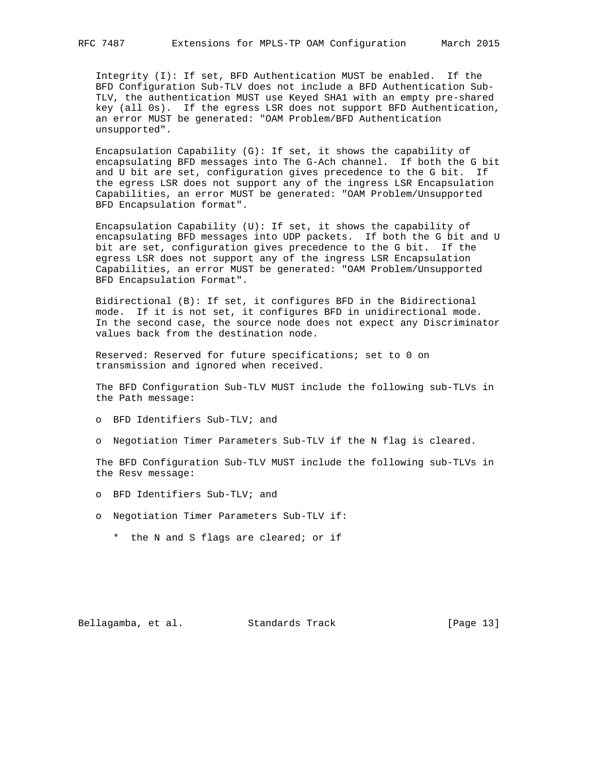Integrity (I): If set, BFD Authentication MUST be enabled. If the BFD Configuration Sub-TLV does not include a BFD Authentication Sub- TLV, the authentication MUST use Keyed SHA1 with an empty pre-shared key (all 0s). If the egress LSR does not support BFD Authentication, an error MUST be generated: "OAM Problem/BFD Authentication unsupported".

 Encapsulation Capability (G): If set, it shows the capability of encapsulating BFD messages into The G-Ach channel. If both the G bit and U bit are set, configuration gives precedence to the G bit. If the egress LSR does not support any of the ingress LSR Encapsulation Capabilities, an error MUST be generated: "OAM Problem/Unsupported BFD Encapsulation format".

 Encapsulation Capability (U): If set, it shows the capability of encapsulating BFD messages into UDP packets. If both the G bit and U bit are set, configuration gives precedence to the G bit. If the egress LSR does not support any of the ingress LSR Encapsulation Capabilities, an error MUST be generated: "OAM Problem/Unsupported BFD Encapsulation Format".

 Bidirectional (B): If set, it configures BFD in the Bidirectional mode. If it is not set, it configures BFD in unidirectional mode. In the second case, the source node does not expect any Discriminator values back from the destination node.

 Reserved: Reserved for future specifications; set to 0 on transmission and ignored when received.

 The BFD Configuration Sub-TLV MUST include the following sub-TLVs in the Path message:

- o BFD Identifiers Sub-TLV; and
- o Negotiation Timer Parameters Sub-TLV if the N flag is cleared.

 The BFD Configuration Sub-TLV MUST include the following sub-TLVs in the Resv message:

- o BFD Identifiers Sub-TLV; and
- o Negotiation Timer Parameters Sub-TLV if:
	- \* the N and S flags are cleared; or if

Bellagamba, et al. Standards Track [Page 13]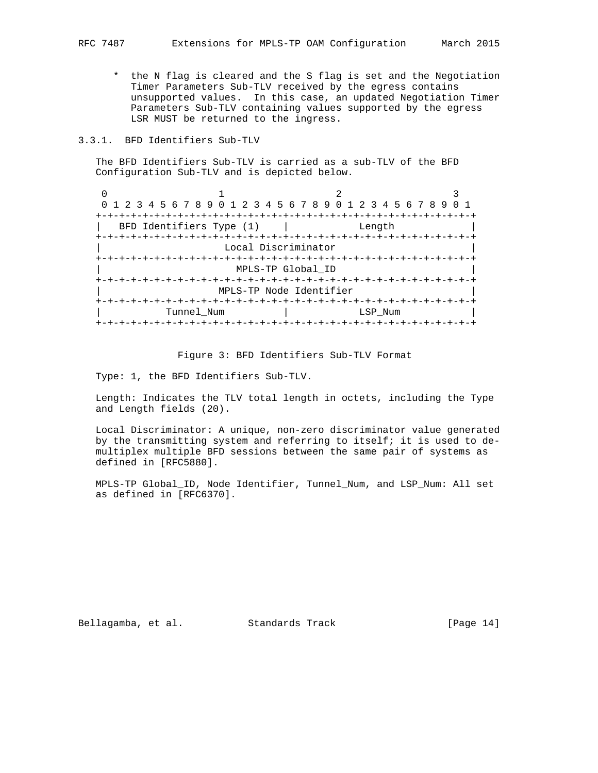\* the N flag is cleared and the S flag is set and the Negotiation Timer Parameters Sub-TLV received by the egress contains unsupported values. In this case, an updated Negotiation Timer Parameters Sub-TLV containing values supported by the egress LSR MUST be returned to the ingress.

# 3.3.1. BFD Identifiers Sub-TLV

 The BFD Identifiers Sub-TLV is carried as a sub-TLV of the BFD Configuration Sub-TLV and is depicted below.

| 0 1 2 3 4 5 6 7 8 9 0 1 2 3 4 5 6 7 8 9 0 1 2 3 4 5 6 7 8 9 |                          |                        |                         |                   |  |  |  |         |  |  |  |  |
|-------------------------------------------------------------|--------------------------|------------------------|-------------------------|-------------------|--|--|--|---------|--|--|--|--|
|                                                             |                          |                        |                         |                   |  |  |  |         |  |  |  |  |
|                                                             | BFD Identifiers Type (1) |                        |                         |                   |  |  |  | Lenath  |  |  |  |  |
|                                                             |                          |                        |                         |                   |  |  |  |         |  |  |  |  |
|                                                             |                          |                        | Local Discriminator     |                   |  |  |  |         |  |  |  |  |
|                                                             |                          |                        |                         |                   |  |  |  |         |  |  |  |  |
|                                                             |                          |                        |                         | MPLS-TP Global ID |  |  |  |         |  |  |  |  |
|                                                             |                          | -+-+-+-+-+-+-+-+-+-+-+ |                         |                   |  |  |  |         |  |  |  |  |
|                                                             |                          |                        | MPLS-TP Node Identifier |                   |  |  |  |         |  |  |  |  |
|                                                             |                          |                        |                         |                   |  |  |  |         |  |  |  |  |
|                                                             | Tunnel Num               |                        |                         |                   |  |  |  | LSP Num |  |  |  |  |
|                                                             |                          |                        |                         |                   |  |  |  |         |  |  |  |  |

#### Figure 3: BFD Identifiers Sub-TLV Format

Type: 1, the BFD Identifiers Sub-TLV.

 Length: Indicates the TLV total length in octets, including the Type and Length fields (20).

 Local Discriminator: A unique, non-zero discriminator value generated by the transmitting system and referring to itself; it is used to de multiplex multiple BFD sessions between the same pair of systems as defined in [RFC5880].

 MPLS-TP Global\_ID, Node Identifier, Tunnel\_Num, and LSP\_Num: All set as defined in [RFC6370].

Bellagamba, et al. Standards Track [Page 14]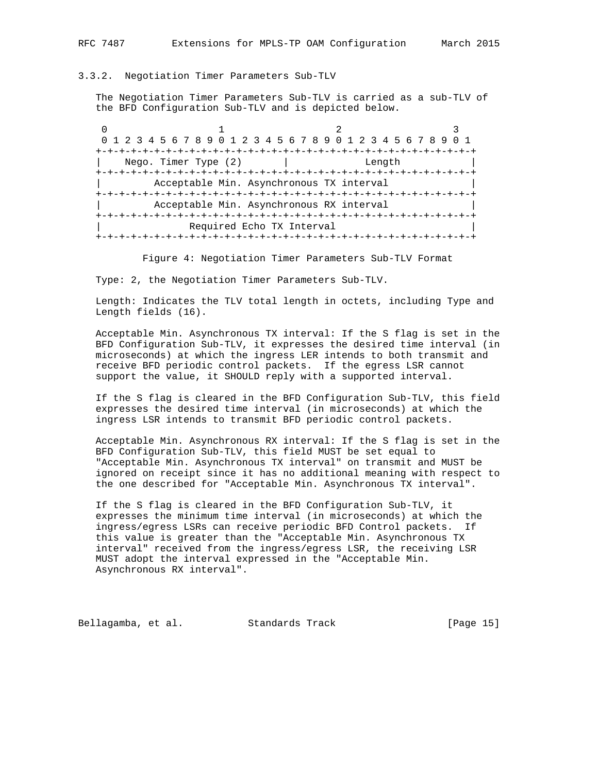# 3.3.2. Negotiation Timer Parameters Sub-TLV

 The Negotiation Timer Parameters Sub-TLV is carried as a sub-TLV of the BFD Configuration Sub-TLV and is depicted below.

0  $1$  2 3 0 1 2 3 4 5 6 7 8 9 0 1 2 3 4 5 6 7 8 9 0 1 2 3 4 5 6 7 8 9 0 1 +-+-+-+-+-+-+-+-+-+-+-+-+-+-+-+-+-+-+-+-+-+-+-+-+-+-+-+-+-+-+-+-+ Nego. Timer Type (2) | Length +-+-+-+-+-+-+-+-+-+-+-+-+-+-+-+-+-+-+-+-+-+-+-+-+-+-+-+-+-+-+-+-+ Acceptable Min. Asynchronous TX interval +-+-+-+-+-+-+-+-+-+-+-+-+-+-+-+-+-+-+-+-+-+-+-+-+-+-+-+-+-+-+-+-+ Acceptable Min. Asynchronous RX interval +-+-+-+-+-+-+-+-+-+-+-+-+-+-+-+-+-+-+-+-+-+-+-+-+-+-+-+-+-+-+-+-+ Required Echo TX Interval +-+-+-+-+-+-+-+-+-+-+-+-+-+-+-+-+-+-+-+-+-+-+-+-+-+-+-+-+-+-+-+-+

Figure 4: Negotiation Timer Parameters Sub-TLV Format

Type: 2, the Negotiation Timer Parameters Sub-TLV.

 Length: Indicates the TLV total length in octets, including Type and Length fields (16).

 Acceptable Min. Asynchronous TX interval: If the S flag is set in the BFD Configuration Sub-TLV, it expresses the desired time interval (in microseconds) at which the ingress LER intends to both transmit and receive BFD periodic control packets. If the egress LSR cannot support the value, it SHOULD reply with a supported interval.

 If the S flag is cleared in the BFD Configuration Sub-TLV, this field expresses the desired time interval (in microseconds) at which the ingress LSR intends to transmit BFD periodic control packets.

 Acceptable Min. Asynchronous RX interval: If the S flag is set in the BFD Configuration Sub-TLV, this field MUST be set equal to "Acceptable Min. Asynchronous TX interval" on transmit and MUST be ignored on receipt since it has no additional meaning with respect to the one described for "Acceptable Min. Asynchronous TX interval".

 If the S flag is cleared in the BFD Configuration Sub-TLV, it expresses the minimum time interval (in microseconds) at which the ingress/egress LSRs can receive periodic BFD Control packets. If this value is greater than the "Acceptable Min. Asynchronous TX interval" received from the ingress/egress LSR, the receiving LSR MUST adopt the interval expressed in the "Acceptable Min. Asynchronous RX interval".

Bellagamba, et al. Standards Track [Page 15]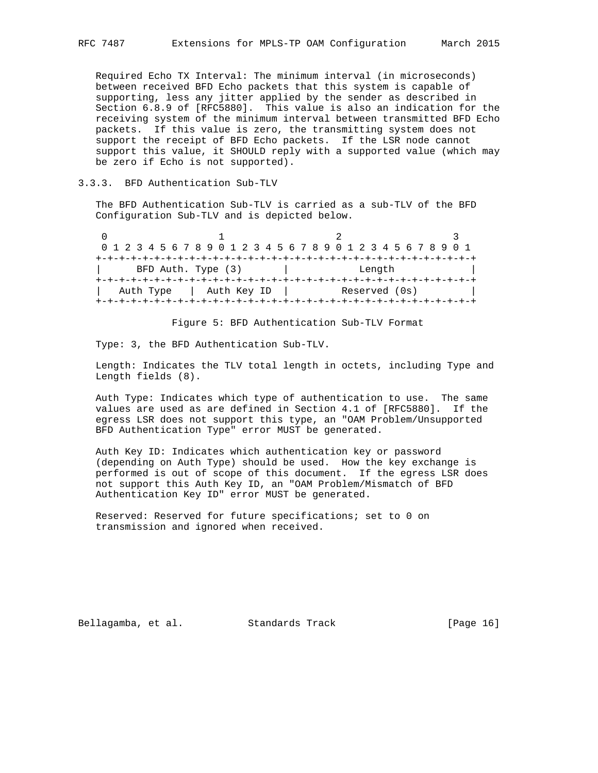Required Echo TX Interval: The minimum interval (in microseconds) between received BFD Echo packets that this system is capable of supporting, less any jitter applied by the sender as described in Section 6.8.9 of [RFC5880]. This value is also an indication for the receiving system of the minimum interval between transmitted BFD Echo packets. If this value is zero, the transmitting system does not support the receipt of BFD Echo packets. If the LSR node cannot support this value, it SHOULD reply with a supported value (which may be zero if Echo is not supported).

#### 3.3.3. BFD Authentication Sub-TLV

 The BFD Authentication Sub-TLV is carried as a sub-TLV of the BFD Configuration Sub-TLV and is depicted below.

| 0 1 2 3 4 5 6 7 8 9 0 1 2 3 4 5 6 7 8 9 0 1 2 3 4 5 6 7 8 9 0 1 |                    |  |  |  |  |             |  |  |  |  |  |               |  |  |  |  |
|-----------------------------------------------------------------|--------------------|--|--|--|--|-------------|--|--|--|--|--|---------------|--|--|--|--|
|                                                                 |                    |  |  |  |  |             |  |  |  |  |  |               |  |  |  |  |
|                                                                 | BFD Auth. Type (3) |  |  |  |  |             |  |  |  |  |  | Length        |  |  |  |  |
|                                                                 |                    |  |  |  |  |             |  |  |  |  |  |               |  |  |  |  |
| Auth Type                                                       |                    |  |  |  |  | Auth Key ID |  |  |  |  |  | Reserved (0s) |  |  |  |  |
|                                                                 |                    |  |  |  |  |             |  |  |  |  |  |               |  |  |  |  |

Figure 5: BFD Authentication Sub-TLV Format

Type: 3, the BFD Authentication Sub-TLV.

 Length: Indicates the TLV total length in octets, including Type and Length fields (8).

 Auth Type: Indicates which type of authentication to use. The same values are used as are defined in Section 4.1 of [RFC5880]. If the egress LSR does not support this type, an "OAM Problem/Unsupported BFD Authentication Type" error MUST be generated.

 Auth Key ID: Indicates which authentication key or password (depending on Auth Type) should be used. How the key exchange is performed is out of scope of this document. If the egress LSR does not support this Auth Key ID, an "OAM Problem/Mismatch of BFD Authentication Key ID" error MUST be generated.

 Reserved: Reserved for future specifications; set to 0 on transmission and ignored when received.

Bellagamba, et al. Standards Track [Page 16]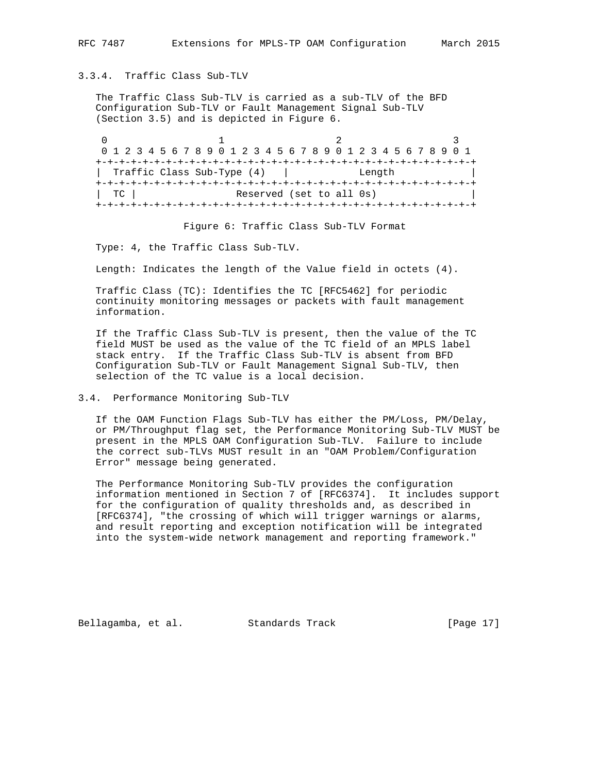#### 3.3.4. Traffic Class Sub-TLV

 The Traffic Class Sub-TLV is carried as a sub-TLV of the BFD Configuration Sub-TLV or Fault Management Signal Sub-TLV (Section 3.5) and is depicted in Figure 6.

|                            |  | 0 1 2 3 4 5 6 7 8 9 0 1 2 3 4 5 6 7 8 9 0 1 2 3 4 5 6 7 8 9 0 1 |  |  |  |  |  |  |  |                                       |  |  |  |  |  |  |  |  |        |  |  |  |  |  |  |
|----------------------------|--|-----------------------------------------------------------------|--|--|--|--|--|--|--|---------------------------------------|--|--|--|--|--|--|--|--|--------|--|--|--|--|--|--|
|                            |  |                                                                 |  |  |  |  |  |  |  |                                       |  |  |  |  |  |  |  |  |        |  |  |  |  |  |  |
|                            |  |                                                                 |  |  |  |  |  |  |  |                                       |  |  |  |  |  |  |  |  |        |  |  |  |  |  |  |
| Traffic Class Sub-Type (4) |  |                                                                 |  |  |  |  |  |  |  |                                       |  |  |  |  |  |  |  |  | Length |  |  |  |  |  |  |
|                            |  |                                                                 |  |  |  |  |  |  |  | +-+-+-+-+-+-+-+-+-+-+-+-+-+-+-+-+-+-+ |  |  |  |  |  |  |  |  |        |  |  |  |  |  |  |
| TC.                        |  |                                                                 |  |  |  |  |  |  |  | Reserved (set to all 0s)              |  |  |  |  |  |  |  |  |        |  |  |  |  |  |  |
|                            |  |                                                                 |  |  |  |  |  |  |  |                                       |  |  |  |  |  |  |  |  |        |  |  |  |  |  |  |

Figure 6: Traffic Class Sub-TLV Format

Type: 4, the Traffic Class Sub-TLV.

Length: Indicates the length of the Value field in octets (4).

 Traffic Class (TC): Identifies the TC [RFC5462] for periodic continuity monitoring messages or packets with fault management information.

 If the Traffic Class Sub-TLV is present, then the value of the TC field MUST be used as the value of the TC field of an MPLS label stack entry. If the Traffic Class Sub-TLV is absent from BFD Configuration Sub-TLV or Fault Management Signal Sub-TLV, then selection of the TC value is a local decision.

# 3.4. Performance Monitoring Sub-TLV

 If the OAM Function Flags Sub-TLV has either the PM/Loss, PM/Delay, or PM/Throughput flag set, the Performance Monitoring Sub-TLV MUST be present in the MPLS OAM Configuration Sub-TLV. Failure to include the correct sub-TLVs MUST result in an "OAM Problem/Configuration Error" message being generated.

 The Performance Monitoring Sub-TLV provides the configuration information mentioned in Section 7 of [RFC6374]. It includes support for the configuration of quality thresholds and, as described in [RFC6374], "the crossing of which will trigger warnings or alarms, and result reporting and exception notification will be integrated into the system-wide network management and reporting framework."

Bellagamba, et al. Standards Track [Page 17]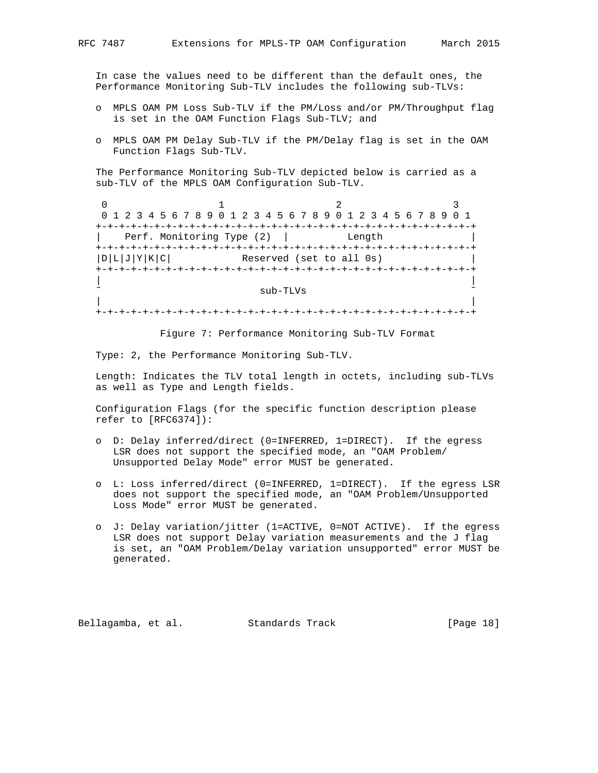In case the values need to be different than the default ones, the Performance Monitoring Sub-TLV includes the following sub-TLVs:

- o MPLS OAM PM Loss Sub-TLV if the PM/Loss and/or PM/Throughput flag is set in the OAM Function Flags Sub-TLV; and
- o MPLS OAM PM Delay Sub-TLV if the PM/Delay flag is set in the OAM Function Flags Sub-TLV.

 The Performance Monitoring Sub-TLV depicted below is carried as a sub-TLV of the MPLS OAM Configuration Sub-TLV.

0  $1$  2 3 0 1 2 3 4 5 6 7 8 9 0 1 2 3 4 5 6 7 8 9 0 1 2 3 4 5 6 7 8 9 0 1 +-+-+-+-+-+-+-+-+-+-+-+-+-+-+-+-+-+-+-+-+-+-+-+-+-+-+-+-+-+-+-+-+ Perf. Monitoring Type (2) | +-+-+-+-+-+-+-+-+-+-+-+-+-+-+-+-+-+-+-+-+-+-+-+-+-+-+-+-+-+-+-+-+  $|D|L|J|Y|K|C|$  Reserved (set to all 0s) +-+-+-+-+-+-+-+-+-+-+-+-+-+-+-+-+-+-+-+-+-+-+-+-+-+-+-+-+-+-+-+-+ | |  $sub$ -TLVs | | +-+-+-+-+-+-+-+-+-+-+-+-+-+-+-+-+-+-+-+-+-+-+-+-+-+-+-+-+-+-+-+-+

Figure 7: Performance Monitoring Sub-TLV Format

Type: 2, the Performance Monitoring Sub-TLV.

 Length: Indicates the TLV total length in octets, including sub-TLVs as well as Type and Length fields.

 Configuration Flags (for the specific function description please refer to [RFC6374]):

- o D: Delay inferred/direct (0=INFERRED, 1=DIRECT). If the egress LSR does not support the specified mode, an "OAM Problem/ Unsupported Delay Mode" error MUST be generated.
- o L: Loss inferred/direct (0=INFERRED, 1=DIRECT). If the egress LSR does not support the specified mode, an "OAM Problem/Unsupported Loss Mode" error MUST be generated.
- o J: Delay variation/jitter (1=ACTIVE, 0=NOT ACTIVE). If the egress LSR does not support Delay variation measurements and the J flag is set, an "OAM Problem/Delay variation unsupported" error MUST be generated.

Bellagamba, et al. Standards Track [Page 18]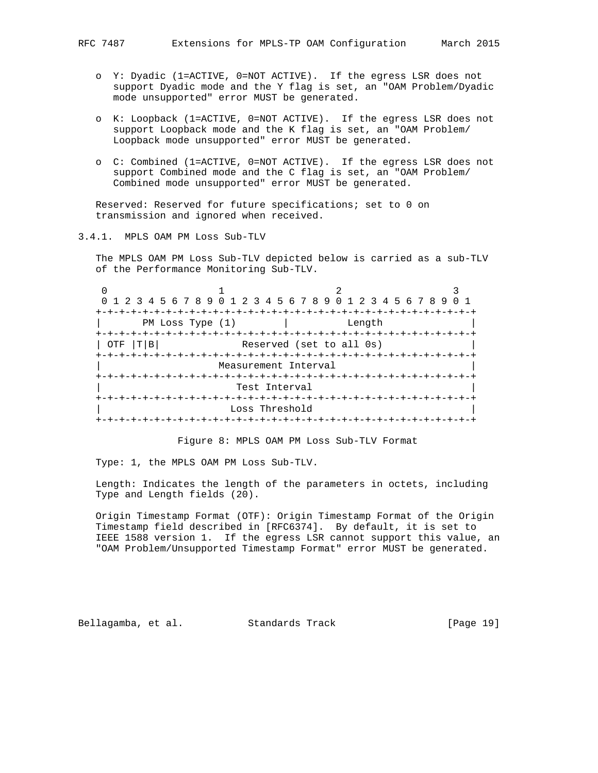- o Y: Dyadic (1=ACTIVE, 0=NOT ACTIVE). If the egress LSR does not support Dyadic mode and the Y flag is set, an "OAM Problem/Dyadic mode unsupported" error MUST be generated.
- o K: Loopback (1=ACTIVE, 0=NOT ACTIVE). If the egress LSR does not support Loopback mode and the K flag is set, an "OAM Problem/ Loopback mode unsupported" error MUST be generated.
- o C: Combined (1=ACTIVE, 0=NOT ACTIVE). If the egress LSR does not support Combined mode and the C flag is set, an "OAM Problem/ Combined mode unsupported" error MUST be generated.

 Reserved: Reserved for future specifications; set to 0 on transmission and ignored when received.

3.4.1. MPLS OAM PM Loss Sub-TLV

 The MPLS OAM PM Loss Sub-TLV depicted below is carried as a sub-TLV of the Performance Monitoring Sub-TLV.

| 0 1 2 3 4 5 6 7 8 9 0 1 2 3 4 5 6 7 8 9 0 1 2 3 4 5 6 7 8 9 |                       |                          |        |  |
|-------------------------------------------------------------|-----------------------|--------------------------|--------|--|
|                                                             |                       |                          |        |  |
| PM Loss Type (1)                                            |                       |                          | Length |  |
|                                                             |                       |                          |        |  |
| T B<br>OTF                                                  |                       | Reserved (set to all 0s) |        |  |
|                                                             |                       |                          |        |  |
|                                                             | Measurement Interval  |                          |        |  |
|                                                             |                       |                          |        |  |
|                                                             | Test Interval         |                          |        |  |
|                                                             |                       |                          |        |  |
|                                                             | Loss Threshold        |                          |        |  |
|                                                             | -+-+-+-+-+-+-+-+-+-+- |                          |        |  |

Figure 8: MPLS OAM PM Loss Sub-TLV Format

Type: 1, the MPLS OAM PM Loss Sub-TLV.

 Length: Indicates the length of the parameters in octets, including Type and Length fields (20).

 Origin Timestamp Format (OTF): Origin Timestamp Format of the Origin Timestamp field described in [RFC6374]. By default, it is set to IEEE 1588 version 1. If the egress LSR cannot support this value, an "OAM Problem/Unsupported Timestamp Format" error MUST be generated.

Bellagamba, et al. Standards Track [Page 19]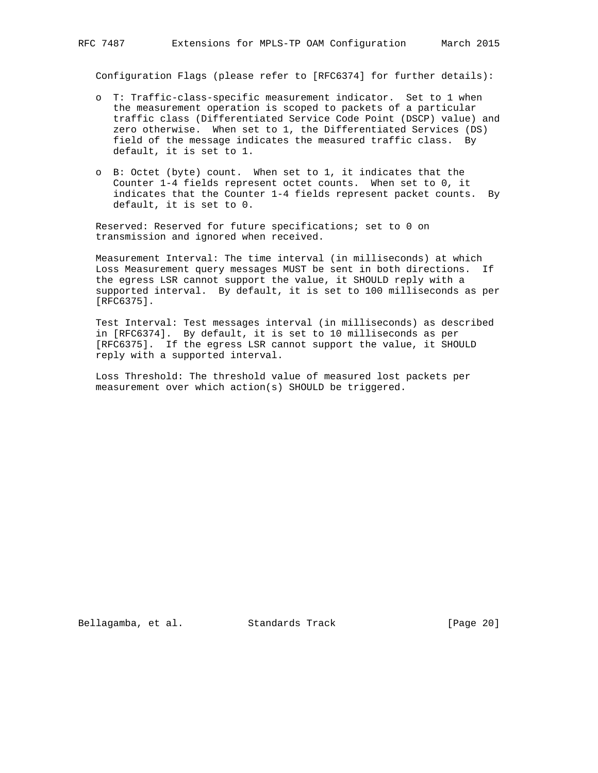Configuration Flags (please refer to [RFC6374] for further details):

- o T: Traffic-class-specific measurement indicator. Set to 1 when the measurement operation is scoped to packets of a particular traffic class (Differentiated Service Code Point (DSCP) value) and zero otherwise. When set to 1, the Differentiated Services (DS) field of the message indicates the measured traffic class. By default, it is set to 1.
- o B: Octet (byte) count. When set to 1, it indicates that the Counter 1-4 fields represent octet counts. When set to 0, it indicates that the Counter 1-4 fields represent packet counts. By default, it is set to 0.

 Reserved: Reserved for future specifications; set to 0 on transmission and ignored when received.

 Measurement Interval: The time interval (in milliseconds) at which Loss Measurement query messages MUST be sent in both directions. If the egress LSR cannot support the value, it SHOULD reply with a supported interval. By default, it is set to 100 milliseconds as per [RFC6375].

 Test Interval: Test messages interval (in milliseconds) as described in [RFC6374]. By default, it is set to 10 milliseconds as per [RFC6375]. If the egress LSR cannot support the value, it SHOULD reply with a supported interval.

 Loss Threshold: The threshold value of measured lost packets per measurement over which action(s) SHOULD be triggered.

Bellagamba, et al. Standards Track [Page 20]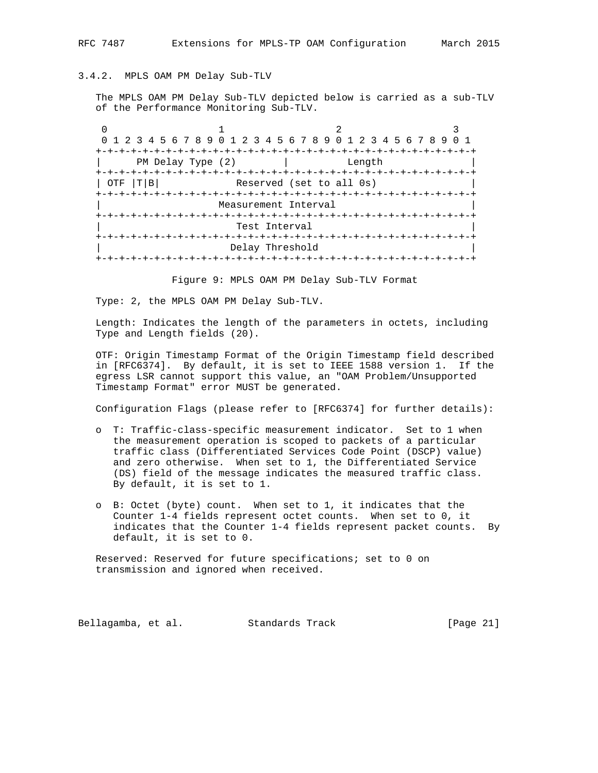# 3.4.2. MPLS OAM PM Delay Sub-TLV

 The MPLS OAM PM Delay Sub-TLV depicted below is carried as a sub-TLV of the Performance Monitoring Sub-TLV.

| 0 1 2 3 4 5 6 7 8 9 0 1 2 3 4 5 6 7 8 9 0 1 2 3 4 5 6 7 8 9 0 1 |                               |        |  |  |
|-----------------------------------------------------------------|-------------------------------|--------|--|--|
|                                                                 |                               |        |  |  |
| PM Delay Type (2)                                               |                               | Length |  |  |
|                                                                 |                               |        |  |  |
| T B <br>OTF                                                     | Reserved (set to all 0s)      |        |  |  |
|                                                                 |                               |        |  |  |
|                                                                 | Measurement Interval          |        |  |  |
|                                                                 |                               |        |  |  |
|                                                                 | Test Interval                 |        |  |  |
|                                                                 |                               |        |  |  |
|                                                                 | Delay Threshold               |        |  |  |
|                                                                 | +-+-+-+-+-+-+-+-+-+-+-+-+-+-+ |        |  |  |

Figure 9: MPLS OAM PM Delay Sub-TLV Format

Type: 2, the MPLS OAM PM Delay Sub-TLV.

 Length: Indicates the length of the parameters in octets, including Type and Length fields (20).

 OTF: Origin Timestamp Format of the Origin Timestamp field described in [RFC6374]. By default, it is set to IEEE 1588 version 1. If the egress LSR cannot support this value, an "OAM Problem/Unsupported Timestamp Format" error MUST be generated.

Configuration Flags (please refer to [RFC6374] for further details):

- o T: Traffic-class-specific measurement indicator. Set to 1 when the measurement operation is scoped to packets of a particular traffic class (Differentiated Services Code Point (DSCP) value) and zero otherwise. When set to 1, the Differentiated Service (DS) field of the message indicates the measured traffic class. By default, it is set to 1.
- o B: Octet (byte) count. When set to 1, it indicates that the Counter 1-4 fields represent octet counts. When set to 0, it indicates that the Counter 1-4 fields represent packet counts. By default, it is set to 0.

 Reserved: Reserved for future specifications; set to 0 on transmission and ignored when received.

Bellagamba, et al. Standards Track [Page 21]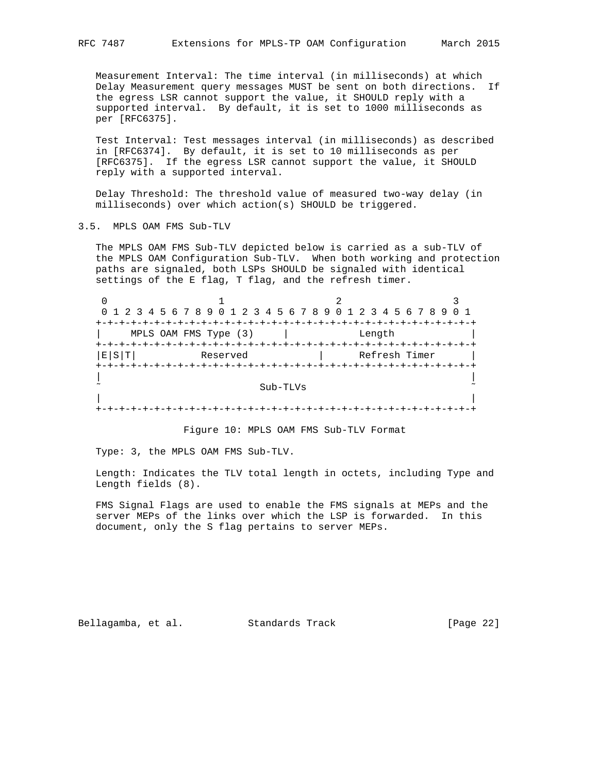Measurement Interval: The time interval (in milliseconds) at which Delay Measurement query messages MUST be sent on both directions. If the egress LSR cannot support the value, it SHOULD reply with a supported interval. By default, it is set to 1000 milliseconds as per [RFC6375].

 Test Interval: Test messages interval (in milliseconds) as described in [RFC6374]. By default, it is set to 10 milliseconds as per [RFC6375]. If the egress LSR cannot support the value, it SHOULD reply with a supported interval.

 Delay Threshold: The threshold value of measured two-way delay (in milliseconds) over which action(s) SHOULD be triggered.

3.5. MPLS OAM FMS Sub-TLV

 The MPLS OAM FMS Sub-TLV depicted below is carried as a sub-TLV of the MPLS OAM Configuration Sub-TLV. When both working and protection paths are signaled, both LSPs SHOULD be signaled with identical settings of the E flag, T flag, and the refresh timer.

|      | 0 1 2 3 4 5 6 7 8 9 0 1 2 3 4 5 6 7 8 9 0 1 2 3 4 5 6 7 8 9 |                       |               |
|------|-------------------------------------------------------------|-----------------------|---------------|
|      |                                                             |                       |               |
|      | MPLS OAM FMS Type (3)                                       |                       | Length        |
|      | +-+-+-+-+-+-+-+-+-+-                                        |                       |               |
| E[S] | Reserved                                                    |                       | Refresh Timer |
|      |                                                             | +-+-+-+-+-+-+-+-+-+-+ |               |
|      |                                                             |                       |               |
|      |                                                             | Sub-TLVs              |               |
|      |                                                             |                       |               |
|      |                                                             |                       |               |

Figure 10: MPLS OAM FMS Sub-TLV Format

Type: 3, the MPLS OAM FMS Sub-TLV.

 Length: Indicates the TLV total length in octets, including Type and Length fields (8).

 FMS Signal Flags are used to enable the FMS signals at MEPs and the server MEPs of the links over which the LSP is forwarded. In this document, only the S flag pertains to server MEPs.

Bellagamba, et al. Standards Track [Page 22]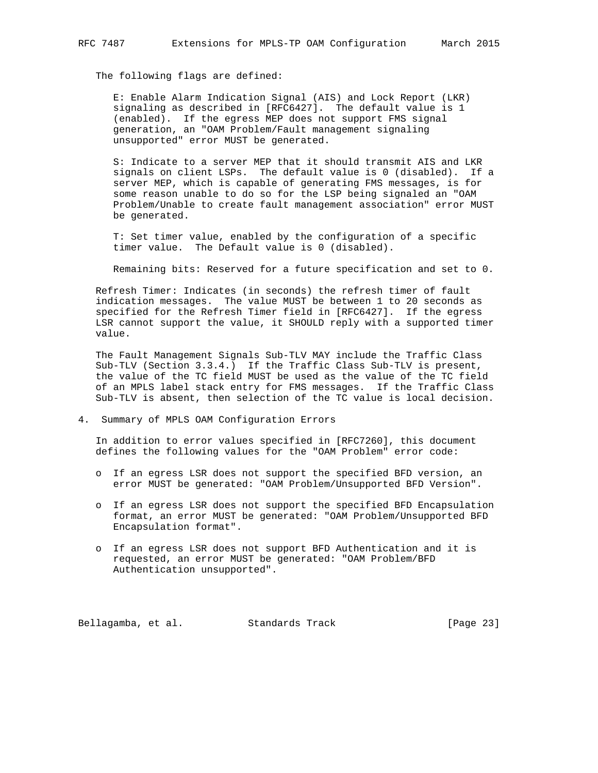The following flags are defined:

 E: Enable Alarm Indication Signal (AIS) and Lock Report (LKR) signaling as described in [RFC6427]. The default value is 1 (enabled). If the egress MEP does not support FMS signal generation, an "OAM Problem/Fault management signaling unsupported" error MUST be generated.

 S: Indicate to a server MEP that it should transmit AIS and LKR signals on client LSPs. The default value is 0 (disabled). If a server MEP, which is capable of generating FMS messages, is for some reason unable to do so for the LSP being signaled an "OAM Problem/Unable to create fault management association" error MUST be generated.

 T: Set timer value, enabled by the configuration of a specific timer value. The Default value is 0 (disabled).

Remaining bits: Reserved for a future specification and set to 0.

 Refresh Timer: Indicates (in seconds) the refresh timer of fault indication messages. The value MUST be between 1 to 20 seconds as specified for the Refresh Timer field in [RFC6427]. If the egress LSR cannot support the value, it SHOULD reply with a supported timer value.

 The Fault Management Signals Sub-TLV MAY include the Traffic Class Sub-TLV (Section 3.3.4.) If the Traffic Class Sub-TLV is present, the value of the TC field MUST be used as the value of the TC field of an MPLS label stack entry for FMS messages. If the Traffic Class Sub-TLV is absent, then selection of the TC value is local decision.

4. Summary of MPLS OAM Configuration Errors

 In addition to error values specified in [RFC7260], this document defines the following values for the "OAM Problem" error code:

- o If an egress LSR does not support the specified BFD version, an error MUST be generated: "OAM Problem/Unsupported BFD Version".
- o If an egress LSR does not support the specified BFD Encapsulation format, an error MUST be generated: "OAM Problem/Unsupported BFD Encapsulation format".
- o If an egress LSR does not support BFD Authentication and it is requested, an error MUST be generated: "OAM Problem/BFD Authentication unsupported".

Bellagamba, et al. Standards Track [Page 23]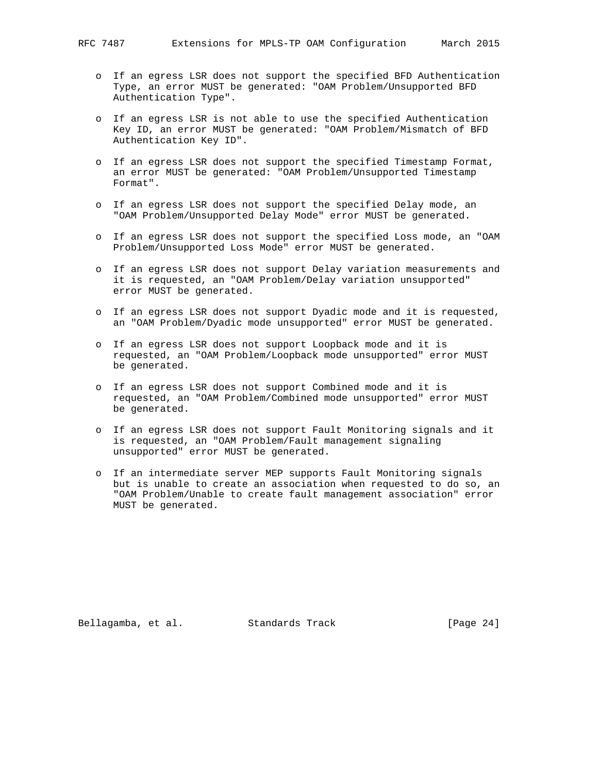- - o If an egress LSR does not support the specified BFD Authentication Type, an error MUST be generated: "OAM Problem/Unsupported BFD Authentication Type".
	- o If an egress LSR is not able to use the specified Authentication Key ID, an error MUST be generated: "OAM Problem/Mismatch of BFD Authentication Key ID".
	- o If an egress LSR does not support the specified Timestamp Format, an error MUST be generated: "OAM Problem/Unsupported Timestamp Format".
	- o If an egress LSR does not support the specified Delay mode, an "OAM Problem/Unsupported Delay Mode" error MUST be generated.
	- o If an egress LSR does not support the specified Loss mode, an "OAM Problem/Unsupported Loss Mode" error MUST be generated.
	- o If an egress LSR does not support Delay variation measurements and it is requested, an "OAM Problem/Delay variation unsupported" error MUST be generated.
	- o If an egress LSR does not support Dyadic mode and it is requested, an "OAM Problem/Dyadic mode unsupported" error MUST be generated.
	- o If an egress LSR does not support Loopback mode and it is requested, an "OAM Problem/Loopback mode unsupported" error MUST be generated.
	- o If an egress LSR does not support Combined mode and it is requested, an "OAM Problem/Combined mode unsupported" error MUST be generated.
	- o If an egress LSR does not support Fault Monitoring signals and it is requested, an "OAM Problem/Fault management signaling unsupported" error MUST be generated.
	- o If an intermediate server MEP supports Fault Monitoring signals but is unable to create an association when requested to do so, an "OAM Problem/Unable to create fault management association" error MUST be generated.

Bellagamba, et al. Standards Track [Page 24]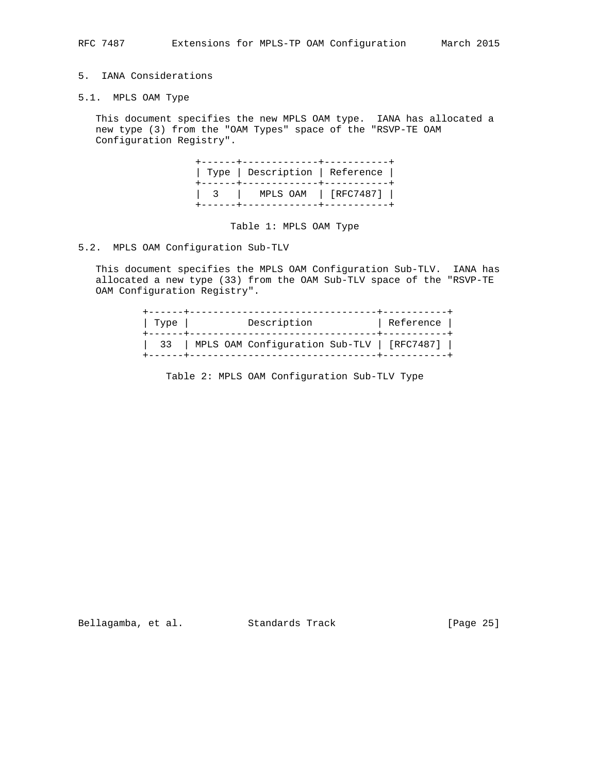# 5. IANA Considerations

5.1. MPLS OAM Type

 This document specifies the new MPLS OAM type. IANA has allocated a new type (3) from the "OAM Types" space of the "RSVP-TE OAM Configuration Registry".

| ---+-------------+--------<br>  Type   Description   Reference |
|----------------------------------------------------------------|
| $\vert$ 3   MPLS OAM   [RFC7487]                               |

Table 1: MPLS OAM Type

## 5.2. MPLS OAM Configuration Sub-TLV

 This document specifies the MPLS OAM Configuration Sub-TLV. IANA has allocated a new type (33) from the OAM Sub-TLV space of the "RSVP-TE OAM Configuration Registry".

| Type | Description                                | Reference |
|------|--------------------------------------------|-----------|
| 33   | MPLS OAM Configuration Sub-TLV   [RFC7487] |           |

Table 2: MPLS OAM Configuration Sub-TLV Type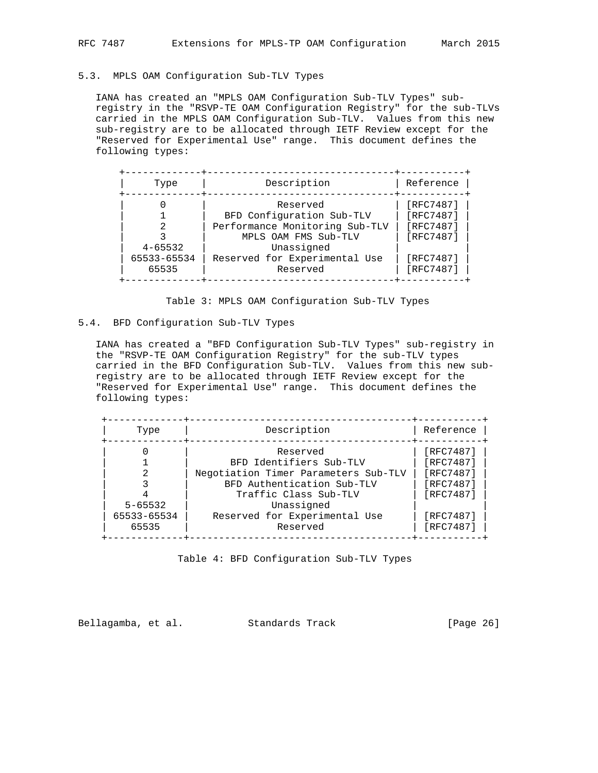# 5.3. MPLS OAM Configuration Sub-TLV Types

 IANA has created an "MPLS OAM Configuration Sub-TLV Types" sub registry in the "RSVP-TE OAM Configuration Registry" for the sub-TLVs carried in the MPLS OAM Configuration Sub-TLV. Values from this new sub-registry are to be allocated through IETF Review except for the "Reserved for Experimental Use" range. This document defines the following types:

| Type        | Description                    | Reference |
|-------------|--------------------------------|-----------|
|             | Reserved                       | [RFC7487] |
|             | BFD Configuration Sub-TLV      | [RFC7487] |
|             | Performance Monitoring Sub-TLV | [RFC7487] |
|             | MPLS OAM FMS Sub-TLV           | [RFC7487] |
| $4 - 65532$ | Unassigned                     |           |
| 65533-65534 | Reserved for Experimental Use  | [RFC7487] |
| 65535       | Reserved                       | [RFC7487] |

Table 3: MPLS OAM Configuration Sub-TLV Types

#### 5.4. BFD Configuration Sub-TLV Types

 IANA has created a "BFD Configuration Sub-TLV Types" sub-registry in the "RSVP-TE OAM Configuration Registry" for the sub-TLV types carried in the BFD Configuration Sub-TLV. Values from this new sub registry are to be allocated through IETF Review except for the "Reserved for Experimental Use" range. This document defines the following types:

| Type        | Description                          | Reference |
|-------------|--------------------------------------|-----------|
|             | Reserved                             | [RFC7487] |
|             | BFD Identifiers Sub-TLV              | [RFC7487] |
|             | Negotiation Timer Parameters Sub-TLV | [RFC7487] |
|             | BFD Authentication Sub-TLV           | [RFC7487] |
|             | Traffic Class Sub-TLV                | [RFC7487] |
| $5 - 65532$ | Unassigned                           |           |
| 65533-65534 | Reserved for Experimental Use        | [RFC7487] |
| 65535       | Reserved                             | [RFC7487] |

Table 4: BFD Configuration Sub-TLV Types

Bellagamba, et al. Standards Track [Page 26]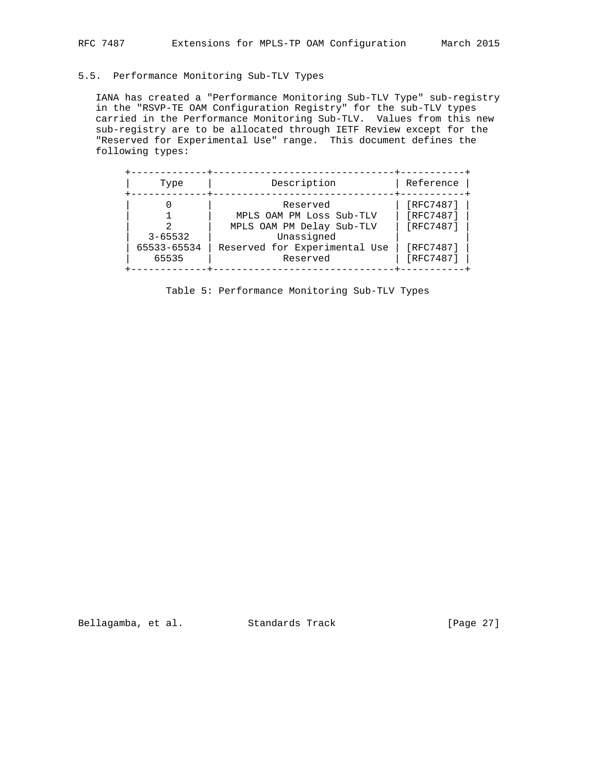# 5.5. Performance Monitoring Sub-TLV Types

 IANA has created a "Performance Monitoring Sub-TLV Type" sub-registry in the "RSVP-TE OAM Configuration Registry" for the sub-TLV types carried in the Performance Monitoring Sub-TLV. Values from this new sub-registry are to be allocated through IETF Review except for the "Reserved for Experimental Use" range. This document defines the following types:

| Type                       | Description                                 | Reference              |
|----------------------------|---------------------------------------------|------------------------|
|                            | Reserved<br>MPLS OAM PM Loss Sub-TLV        | [RFC7487]<br>[RFC7487] |
|                            | MPLS OAM PM Delay Sub-TLV                   | [RFC7487]              |
| $3 - 65532$<br>65533-65534 | Unassigned<br>Reserved for Experimental Use | [RFC7487]              |
| 65535                      | Reserved                                    | [RFC7487]              |

Table 5: Performance Monitoring Sub-TLV Types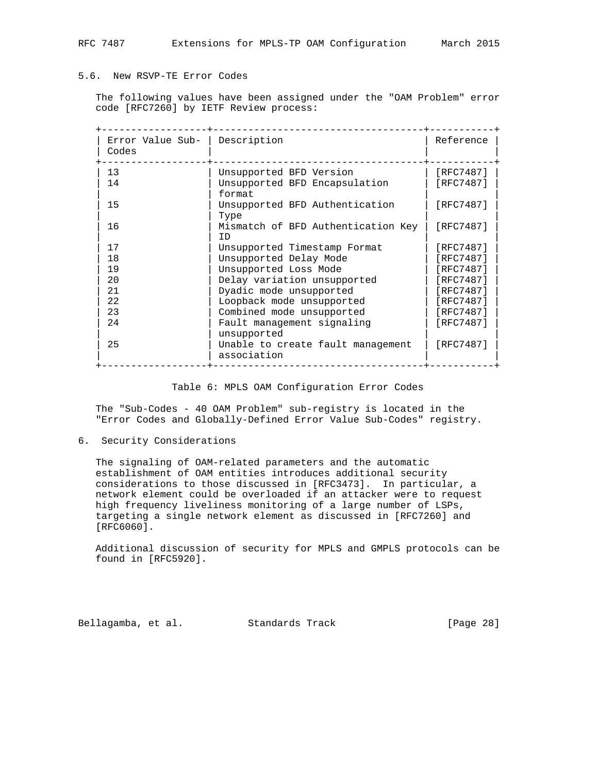# 5.6. New RSVP-TE Error Codes

 The following values have been assigned under the "OAM Problem" error code [RFC7260] by IETF Review process:

| Error Value Sub-<br>Codes | Description                                      | Reference |
|---------------------------|--------------------------------------------------|-----------|
| 13                        | Unsupported BFD Version                          | [RFC7487] |
| 14                        | Unsupported BFD Encapsulation<br>format          | [RFC7487] |
| 15                        | Unsupported BFD Authentication<br>Type           | [RFC7487] |
| 16                        | Mismatch of BFD Authentication Key<br>TD.        | [RFC7487] |
| 17                        | Unsupported Timestamp Format                     | [RFC7487] |
| 18                        | Unsupported Delay Mode                           | [RFC7487] |
| 19                        | Unsupported Loss Mode                            | [RFC7487] |
| 20                        | Delay variation unsupported                      | [RFC7487] |
| 21                        | Dyadic mode unsupported                          | [RFC7487] |
| 22                        | Loopback mode unsupported                        | [RFC7487] |
| 23                        | Combined mode unsupported                        | [RFC7487] |
| 24                        | Fault management signaling<br>unsupported        | [RFC7487] |
| 25                        | Unable to create fault management<br>association | [RFC7487] |

Table 6: MPLS OAM Configuration Error Codes

 The "Sub-Codes - 40 OAM Problem" sub-registry is located in the "Error Codes and Globally-Defined Error Value Sub-Codes" registry.

6. Security Considerations

 The signaling of OAM-related parameters and the automatic establishment of OAM entities introduces additional security considerations to those discussed in [RFC3473]. In particular, a network element could be overloaded if an attacker were to request high frequency liveliness monitoring of a large number of LSPs, targeting a single network element as discussed in [RFC7260] and [RFC6060].

 Additional discussion of security for MPLS and GMPLS protocols can be found in [RFC5920].

Bellagamba, et al. Standards Track [Page 28]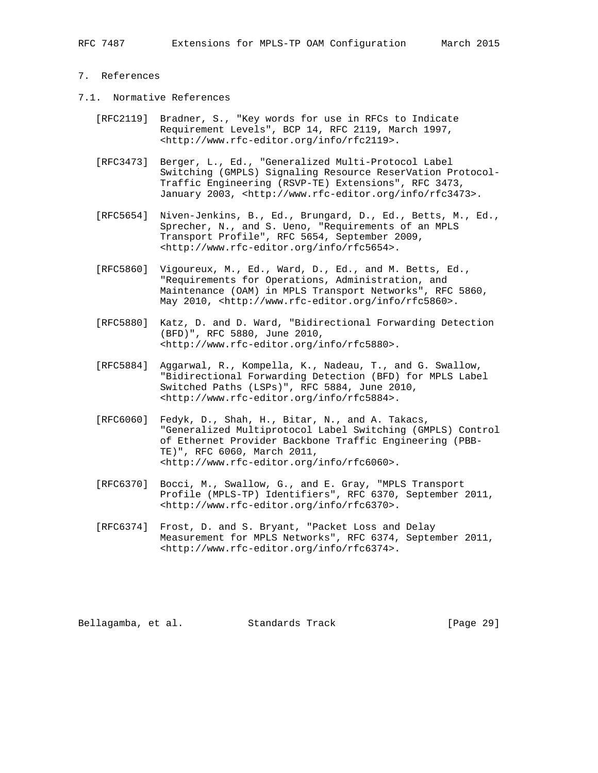#### 7. References

- 7.1. Normative References
	- [RFC2119] Bradner, S., "Key words for use in RFCs to Indicate Requirement Levels", BCP 14, RFC 2119, March 1997, <http://www.rfc-editor.org/info/rfc2119>.
	- [RFC3473] Berger, L., Ed., "Generalized Multi-Protocol Label Switching (GMPLS) Signaling Resource ReserVation Protocol- Traffic Engineering (RSVP-TE) Extensions", RFC 3473, January 2003, <http://www.rfc-editor.org/info/rfc3473>.
	- [RFC5654] Niven-Jenkins, B., Ed., Brungard, D., Ed., Betts, M., Ed., Sprecher, N., and S. Ueno, "Requirements of an MPLS Transport Profile", RFC 5654, September 2009, <http://www.rfc-editor.org/info/rfc5654>.
	- [RFC5860] Vigoureux, M., Ed., Ward, D., Ed., and M. Betts, Ed., "Requirements for Operations, Administration, and Maintenance (OAM) in MPLS Transport Networks", RFC 5860, May 2010, <http://www.rfc-editor.org/info/rfc5860>.
	- [RFC5880] Katz, D. and D. Ward, "Bidirectional Forwarding Detection (BFD)", RFC 5880, June 2010, <http://www.rfc-editor.org/info/rfc5880>.
	- [RFC5884] Aggarwal, R., Kompella, K., Nadeau, T., and G. Swallow, "Bidirectional Forwarding Detection (BFD) for MPLS Label Switched Paths (LSPs)", RFC 5884, June 2010, <http://www.rfc-editor.org/info/rfc5884>.
	- [RFC6060] Fedyk, D., Shah, H., Bitar, N., and A. Takacs, "Generalized Multiprotocol Label Switching (GMPLS) Control of Ethernet Provider Backbone Traffic Engineering (PBB- TE)", RFC 6060, March 2011, <http://www.rfc-editor.org/info/rfc6060>.
	- [RFC6370] Bocci, M., Swallow, G., and E. Gray, "MPLS Transport Profile (MPLS-TP) Identifiers", RFC 6370, September 2011, <http://www.rfc-editor.org/info/rfc6370>.
	- [RFC6374] Frost, D. and S. Bryant, "Packet Loss and Delay Measurement for MPLS Networks", RFC 6374, September 2011, <http://www.rfc-editor.org/info/rfc6374>.

Bellagamba, et al. Standards Track [Page 29]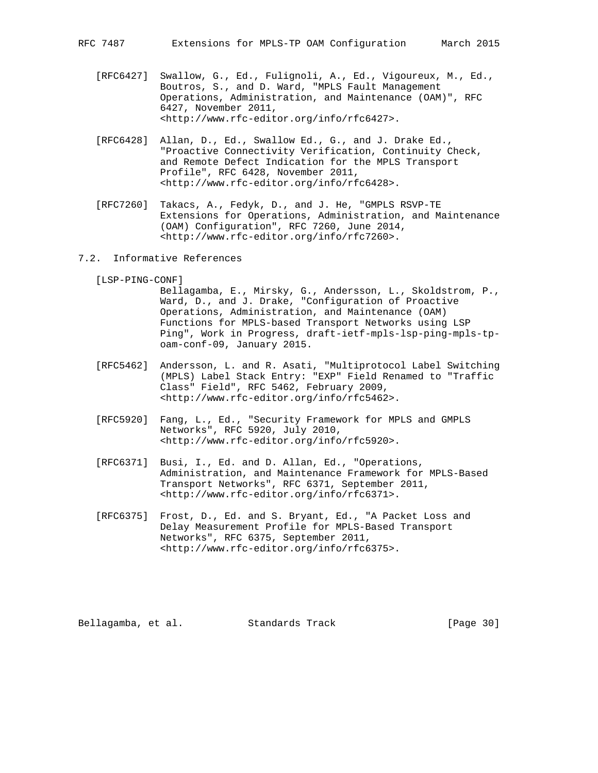- [RFC6427] Swallow, G., Ed., Fulignoli, A., Ed., Vigoureux, M., Ed., Boutros, S., and D. Ward, "MPLS Fault Management Operations, Administration, and Maintenance (OAM)", RFC 6427, November 2011, <http://www.rfc-editor.org/info/rfc6427>.
- [RFC6428] Allan, D., Ed., Swallow Ed., G., and J. Drake Ed., "Proactive Connectivity Verification, Continuity Check, and Remote Defect Indication for the MPLS Transport Profile", RFC 6428, November 2011, <http://www.rfc-editor.org/info/rfc6428>.
- [RFC7260] Takacs, A., Fedyk, D., and J. He, "GMPLS RSVP-TE Extensions for Operations, Administration, and Maintenance (OAM) Configuration", RFC 7260, June 2014, <http://www.rfc-editor.org/info/rfc7260>.
- 7.2. Informative References

[LSP-PING-CONF]

- Bellagamba, E., Mirsky, G., Andersson, L., Skoldstrom, P., Ward, D., and J. Drake, "Configuration of Proactive Operations, Administration, and Maintenance (OAM) Functions for MPLS-based Transport Networks using LSP Ping", Work in Progress, draft-ietf-mpls-lsp-ping-mpls-tp oam-conf-09, January 2015.
- [RFC5462] Andersson, L. and R. Asati, "Multiprotocol Label Switching (MPLS) Label Stack Entry: "EXP" Field Renamed to "Traffic Class" Field", RFC 5462, February 2009, <http://www.rfc-editor.org/info/rfc5462>.
- [RFC5920] Fang, L., Ed., "Security Framework for MPLS and GMPLS Networks", RFC 5920, July 2010, <http://www.rfc-editor.org/info/rfc5920>.
- [RFC6371] Busi, I., Ed. and D. Allan, Ed., "Operations, Administration, and Maintenance Framework for MPLS-Based Transport Networks", RFC 6371, September 2011, <http://www.rfc-editor.org/info/rfc6371>.
- [RFC6375] Frost, D., Ed. and S. Bryant, Ed., "A Packet Loss and Delay Measurement Profile for MPLS-Based Transport Networks", RFC 6375, September 2011, <http://www.rfc-editor.org/info/rfc6375>.

Bellagamba, et al. Standards Track [Page 30]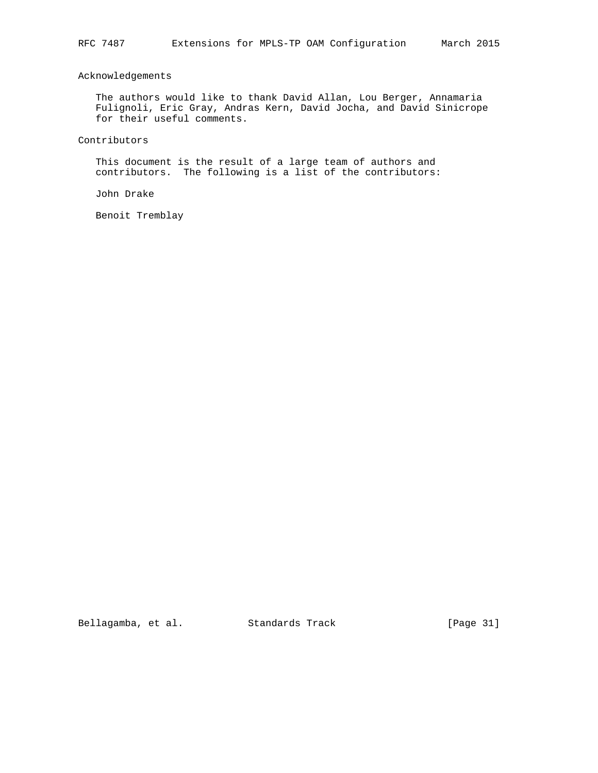# Acknowledgements

 The authors would like to thank David Allan, Lou Berger, Annamaria Fulignoli, Eric Gray, Andras Kern, David Jocha, and David Sinicrope for their useful comments.

Contributors

 This document is the result of a large team of authors and contributors. The following is a list of the contributors:

John Drake

Benoit Tremblay

Bellagamba, et al. Standards Track [Page 31]